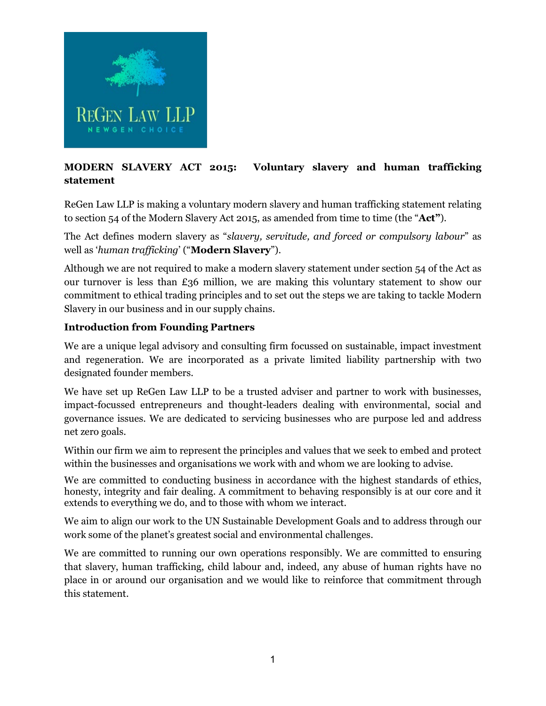

# **MODERN SLAVERY ACT 2015: Voluntary slavery and human trafficking statement**

ReGen Law LLP is making a voluntary modern slavery and human trafficking statement relating to section 54 of the Modern Slavery Act 2015, as amended from time to time (the "**Act"**).

The Act defines modern slavery as "*slavery, servitude, and forced or compulsory labour*" as well as '*human trafficking*' ("**Modern Slavery**").

Although we are not required to make a modern slavery statement under section 54 of the Act as our turnover is less than £36 million, we are making this voluntary statement to show our commitment to ethical trading principles and to set out the steps we are taking to tackle Modern Slavery in our business and in our supply chains.

#### **Introduction from Founding Partners**

We are a unique legal advisory and consulting firm focussed on sustainable, impact investment and regeneration. We are incorporated as a private limited liability partnership with two designated founder members.

We have set up ReGen Law LLP to be a trusted adviser and partner to work with businesses, impact-focussed entrepreneurs and thought-leaders dealing with environmental, social and governance issues. We are dedicated to servicing businesses who are purpose led and address net zero goals.

Within our firm we aim to represent the principles and values that we seek to embed and protect within the businesses and organisations we work with and whom we are looking to advise.

We are committed to conducting business in accordance with the highest standards of ethics, honesty, integrity and fair dealing. A commitment to behaving responsibly is at our core and it extends to everything we do, and to those with whom we interact.

We aim to align our work to the UN Sustainable Development Goals and to address through our work some of the planet's greatest social and environmental challenges.

We are committed to running our own operations responsibly. We are committed to ensuring that slavery, human trafficking, child labour and, indeed, any abuse of human rights have no place in or around our organisation and we would like to reinforce that commitment through this statement.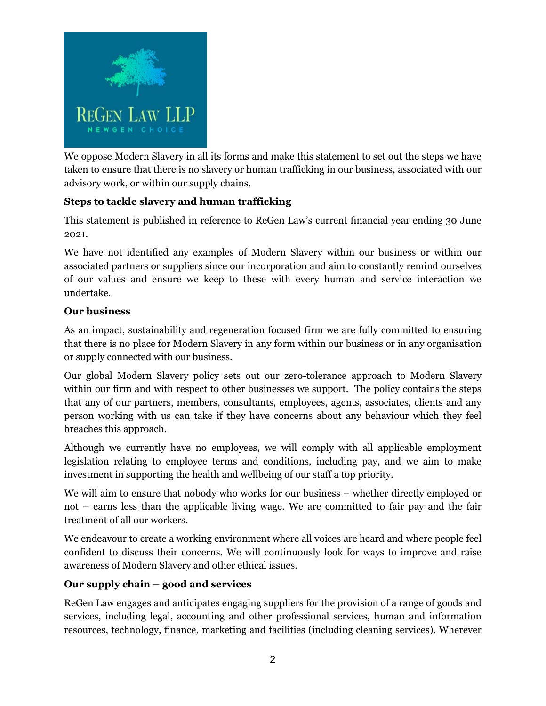

We oppose Modern Slavery in all its forms and make this statement to set out the steps we have taken to ensure that there is no slavery or human trafficking in our business, associated with our advisory work, or within our supply chains.

## **Steps to tackle slavery and human trafficking**

This statement is published in reference to ReGen Law's current financial year ending 30 June 2021.

We have not identified any examples of Modern Slavery within our business or within our associated partners or suppliers since our incorporation and aim to constantly remind ourselves of our values and ensure we keep to these with every human and service interaction we undertake.

### **Our business**

As an impact, sustainability and regeneration focused firm we are fully committed to ensuring that there is no place for Modern Slavery in any form within our business or in any organisation or supply connected with our business.

Our global Modern Slavery policy sets out our zero-tolerance approach to Modern Slavery within our firm and with respect to other businesses we support. The policy contains the steps that any of our partners, members, consultants, employees, agents, associates, clients and any person working with us can take if they have concerns about any behaviour which they feel breaches this approach.

Although we currently have no employees, we will comply with all applicable employment legislation relating to employee terms and conditions, including pay, and we aim to make investment in supporting the health and wellbeing of our staff a top priority.

We will aim to ensure that nobody who works for our business – whether directly employed or not – earns less than the applicable living wage. We are committed to fair pay and the fair treatment of all our workers.

We endeavour to create a working environment where all voices are heard and where people feel confident to discuss their concerns. We will continuously look for ways to improve and raise awareness of Modern Slavery and other ethical issues.

### **Our supply chain – good and services**

ReGen Law engages and anticipates engaging suppliers for the provision of a range of goods and services, including legal, accounting and other professional services, human and information resources, technology, finance, marketing and facilities (including cleaning services). Wherever